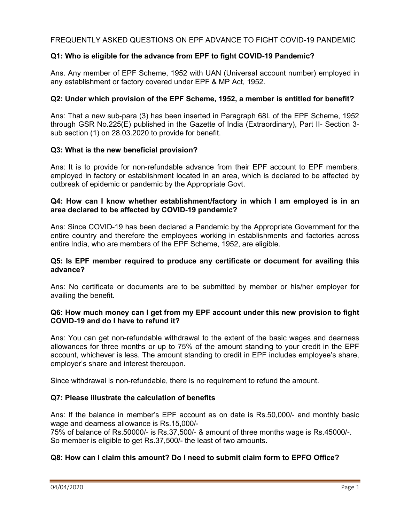# FREQUENTLY ASKED QUESTIONS ON EPF ADVANCE TO FIGHT COVID-19 PANDEMIC

# Q1: Who is eligible for the advance from EPF to fight COVID-19 Pandemic?

Ans. Any member of EPF Scheme, 1952 with UAN (Universal account number) employed in any establishment or factory covered under EPF & MP Act, 1952.

## Q2: Under which provision of the EPF Scheme, 1952, a member is entitled for benefit?

Ans: That a new sub-para (3) has been inserted in Paragraph 68L of the EPF Scheme, 1952 through GSR No.225(E) published in the Gazette of India (Extraordinary), Part II- Section 3 sub section (1) on 28.03.2020 to provide for benefit.

## Q3: What is the new beneficial provision?

Ans: It is to provide for non-refundable advance from their EPF account to EPF members, employed in factory or establishment located in an area, which is declared to be affected by outbreak of epidemic or pandemic by the Appropriate Govt.

## Q4: How can I know whether establishment/factory in which I am employed is in an area declared to be affected by COVID-19 pandemic?

Ans: Since COVID-19 has been declared a Pandemic by the Appropriate Government for the entire country and therefore the employees working in establishments and factories across entire India, who are members of the EPF Scheme, 1952, are eligible.

#### Q5: Is EPF member required to produce any certificate or document for availing this advance?

Ans: No certificate or documents are to be submitted by member or his/her employer for availing the benefit.

## Q6: How much money can I get from my EPF account under this new provision to fight COVID-19 and do I have to refund it?

Ans: You can get non-refundable withdrawal to the extent of the basic wages and dearness allowances for three months or up to 75% of the amount standing to your credit in the EPF account, whichever is less. The amount standing to credit in EPF includes employee's share, employer's share and interest thereupon.

Since withdrawal is non-refundable, there is no requirement to refund the amount.

#### Q7: Please illustrate the calculation of benefits

Ans: If the balance in member's EPF account as on date is Rs.50,000/- and monthly basic wage and dearness allowance is Rs.15,000/-

75% of balance of Rs.50000/- is Rs.37,500/- & amount of three months wage is Rs.45000/-. So member is eligible to get Rs.37,500/- the least of two amounts.

#### Q8: How can I claim this amount? Do I need to submit claim form to EPFO Office?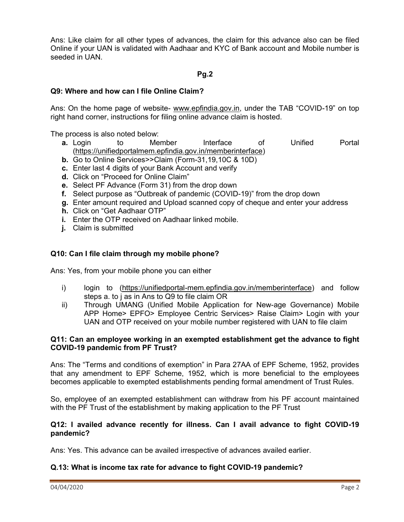Ans: Like claim for all other types of advances, the claim for this advance also can be filed Online if your UAN is validated with Aadhaar and KYC of Bank account and Mobile number is seeded in UAN.

## Pg.2

### Q9: Where and how can I file Online Claim?

Ans: On the home page of website- www.epfindia.gov.in, under the TAB "COVID-19" on top right hand corner, instructions for filing online advance claim is hosted.

The process is also noted below:

- **a.** Login to Member Interface of Unified Portal (https://unifiedportalmem.epfindia.gov.in/memberinterface)
- b. Go to Online Services>>Claim (Form-31,19,10C & 10D)
- c. Enter last 4 digits of your Bank Account and verify
- d. Click on "Proceed for Online Claim"
- e. Select PF Advance (Form 31) from the drop down
- f. Select purpose as "Outbreak of pandemic (COVID-19)" from the drop down
- g. Enter amount required and Upload scanned copy of cheque and enter your address
- h. Click on "Get Aadhaar OTP"
- i. Enter the OTP received on Aadhaar linked mobile.
- j. Claim is submitted

#### Q10: Can I file claim through my mobile phone?

Ans: Yes, from your mobile phone you can either

- i) login to (https://unifiedportal-mem.epfindia.gov.in/memberinterface) and follow steps a. to j as in Ans to Q9 to file claim OR
- ii) Through UMANG (Unified Mobile Application for New-age Governance) Mobile APP Home> EPFO> Employee Centric Services> Raise Claim> Login with your UAN and OTP received on your mobile number registered with UAN to file claim

#### Q11: Can an employee working in an exempted establishment get the advance to fight COVID-19 pandemic from PF Trust?

Ans: The "Terms and conditions of exemption" in Para 27AA of EPF Scheme, 1952, provides that any amendment to EPF Scheme, 1952, which is more beneficial to the employees becomes applicable to exempted establishments pending formal amendment of Trust Rules.

So, employee of an exempted establishment can withdraw from his PF account maintained with the PF Trust of the establishment by making application to the PF Trust

#### Q12: I availed advance recently for illness. Can I avail advance to fight COVID-19 pandemic?

Ans: Yes. This advance can be availed irrespective of advances availed earlier.

#### Q.13: What is income tax rate for advance to fight COVID-19 pandemic?